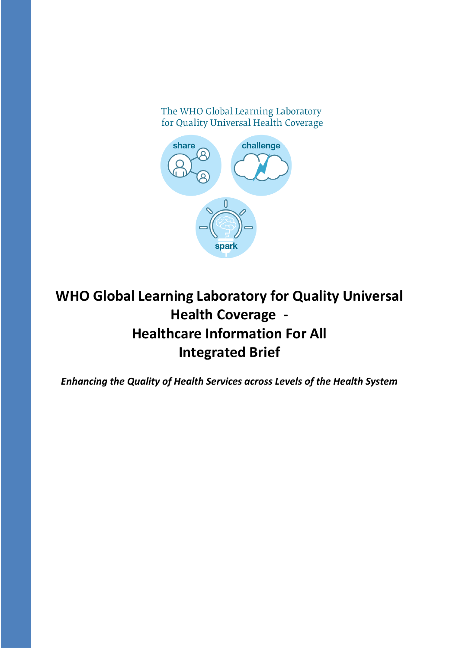The WHO Global Learning Laboratory for Quality Universal Health Coverage



# **WHO Global Learning Laboratory for Quality Universal Health Coverage - Healthcare Information For All Integrated Brief**

*Enhancing the Quality of Health Services across Levels of the Health System*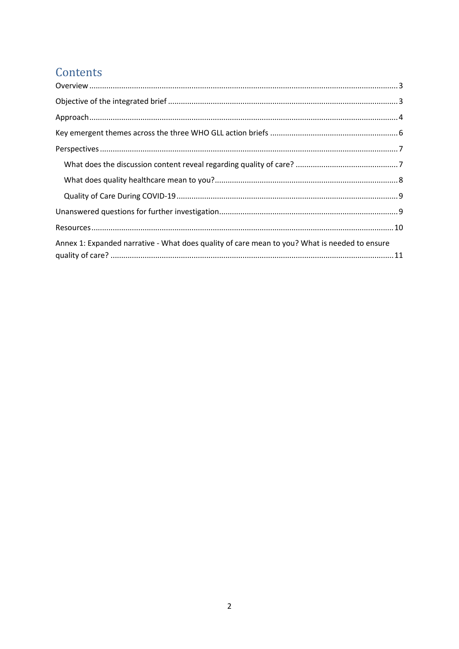## Contents

| Annex 1: Expanded narrative - What does quality of care mean to you? What is needed to ensure |  |  |
|-----------------------------------------------------------------------------------------------|--|--|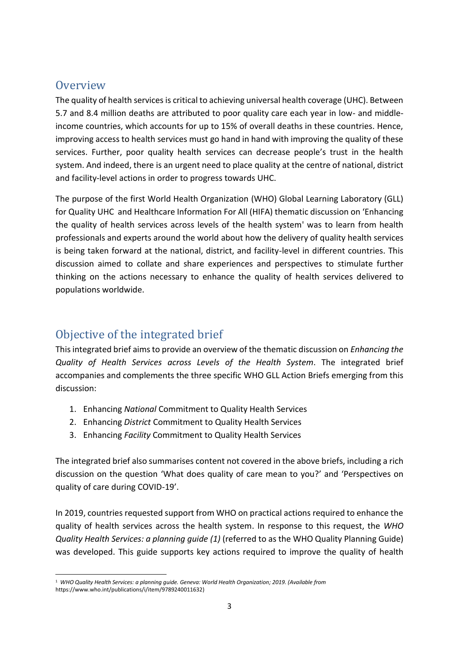## <span id="page-2-0"></span>**Overview**

The quality of health services is critical to achieving universal health coverage (UHC). Between 5.7 and 8.4 million deaths are attributed to poor quality care each year in low- and middleincome countries, which accounts for up to 15% of overall deaths in these countries. Hence, improving access to health services must go hand in hand with improving the quality of these services. Further, poor quality health services can decrease people's trust in the health system. And indeed, there is an urgent need to place quality at the centre of national, district and facility-level actions in order to progress towards UHC.

The purpose of the first World Health Organization (WHO) Global Learning Laboratory (GLL) for Quality UHC and Healthcare Information For All (HIFA) thematic discussion on 'Enhancing the quality of health services across levels of the health system' was to learn from health professionals and experts around the world about how the delivery of quality health services is being taken forward at the national, district, and facility-level in different countries. This discussion aimed to collate and share experiences and perspectives to stimulate further thinking on the actions necessary to enhance the quality of health services delivered to populations worldwide.

## <span id="page-2-1"></span>Objective of the integrated brief

This integrated brief aims to provide an overview of the thematic discussion on *Enhancing the Quality of Health Services across Levels of the Health System*. The integrated brief accompanies and complements the three specific WHO GLL Action Briefs emerging from this discussion:

- 1. Enhancing *National* Commitment to Quality Health Services
- 2. Enhancing *District* Commitment to Quality Health Services
- 3. Enhancing *Facility* Commitment to Quality Health Services

The integrated brief also summarises content not covered in the above briefs, including a rich discussion on the question 'What does quality of care mean to you?' and 'Perspectives on quality of care during COVID-19'.

In 2019, countries requested support from WHO on practical actions required to enhance the quality of health services across the health system. In response to this request, the *WHO Quality Health Services: a planning guide (1)* (referred to as the WHO Quality Planning Guide) was developed. This guide supports key actions required to improve the quality of health

<sup>1</sup> *WHO Quality Health Services: a planning guide. Geneva: World Health Organization; 2019. (Available from*  https://www.who.int/publications/i/item/9789240011632)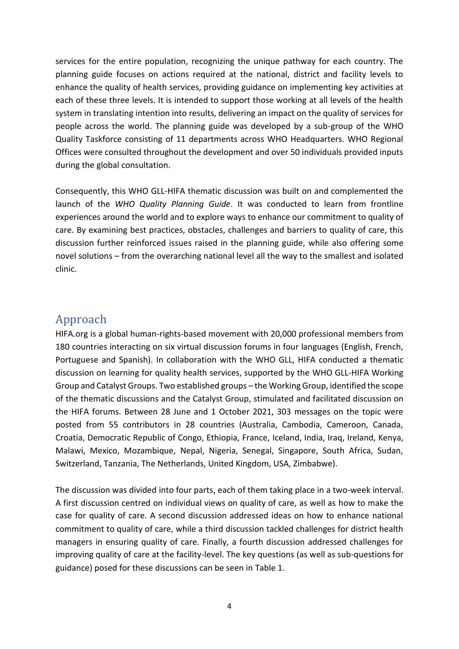services for the entire population, recognizing the unique pathway for each country. The planning guide focuses on actions required at the national, district and facility levels to enhance the quality of health services, providing guidance on implementing key activities at each of these three levels. It is intended to support those working at all levels of the health system in translating intention into results, delivering an impact on the quality of services for people across the world. The planning guide was developed by a sub-group of the WHO Quality Taskforce consisting of 11 departments across WHO Headquarters. WHO Regional Offices were consulted throughout the development and over 50 individuals provided inputs during the global consultation.

Consequently, this WHO GLL-HIFA thematic discussion was built on and complemented the launch of the *WHO Quality Planning Guide*. It was conducted to learn from frontline experiences around the world and to explore ways to enhance our commitment to quality of care. By examining best practices, obstacles, challenges and barriers to quality of care, this discussion further reinforced issues raised in the planning guide, while also offering some novel solutions – from the overarching national level all the way to the smallest and isolated clinic.

### <span id="page-3-0"></span>Approach

HIFA.org is a global human-rights-based movement with 20,000 professional members from 180 countries interacting on six virtual discussion forums in four languages (English, French, Portuguese and Spanish). In collaboration with the WHO GLL, HIFA conducted a thematic discussion on learning for quality health services, supported by the WHO GLL-HIFA Working Group and Catalyst Groups. Two established groups – the Working Group, identified the scope of the thematic discussions and the Catalyst Group, stimulated and facilitated discussion on the HIFA forums. Between 28 June and 1 October 2021, 303 messages on the topic were posted from 55 contributors in 28 countries (Australia, Cambodia, Cameroon, Canada, Croatia, Democratic Republic of Congo, Ethiopia, France, Iceland, India, Iraq, Ireland, Kenya, Malawi, Mexico, Mozambique, Nepal, Nigeria, Senegal, Singapore, South Africa, Sudan, Switzerland, Tanzania, The Netherlands, United Kingdom, USA, Zimbabwe).

The discussion was divided into four parts, each of them taking place in a two-week interval. A first discussion centred on individual views on quality of care, as well as how to make the case for quality of care. A second discussion addressed ideas on how to enhance national commitment to quality of care, while a third discussion tackled challenges for district health managers in ensuring quality of care. Finally, a fourth discussion addressed challenges for improving quality of care at the facility-level. The key questions (as well as sub-questions for guidance) posed for these discussions can be seen in Table 1.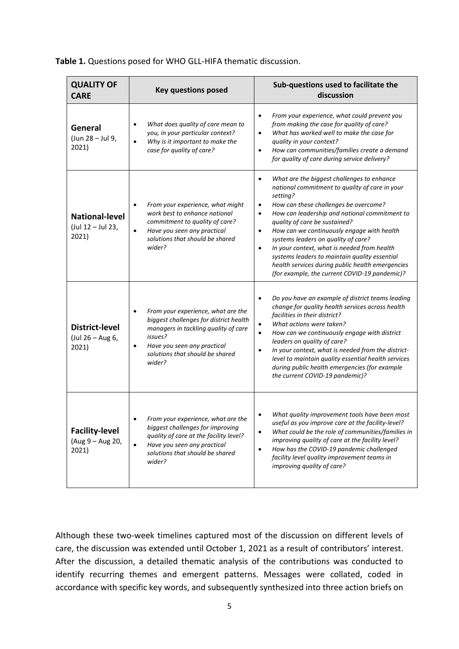| <b>QUALITY OF</b><br><b>CARE</b>                    | <b>Key questions posed</b>                                                                                                                                                                                  | Sub-questions used to facilitate the<br>discussion                                                                                                                                                                                                                                                                                                                                                                                                                                                                                                                                             |
|-----------------------------------------------------|-------------------------------------------------------------------------------------------------------------------------------------------------------------------------------------------------------------|------------------------------------------------------------------------------------------------------------------------------------------------------------------------------------------------------------------------------------------------------------------------------------------------------------------------------------------------------------------------------------------------------------------------------------------------------------------------------------------------------------------------------------------------------------------------------------------------|
| General<br>(Jun 28 - Jul 9,<br>2021)                | What does quality of care mean to<br>you, in your particular context?<br>Why is it important to make the<br>$\bullet$<br>case for quality of care?                                                          | From your experience, what could prevent you<br>$\bullet$<br>from making the case for quality of care?<br>What has worked well to make the case for<br>$\bullet$<br>quality in your context?<br>How can communities/families create a demand<br>$\bullet$<br>for quality of care during service delivery?                                                                                                                                                                                                                                                                                      |
| <b>National-level</b><br>(Jul 12 - Jul 23,<br>2021) | From your experience, what might<br>work best to enhance national<br>commitment to quality of care?<br>Have you seen any practical<br>solutions that should be shared<br>wider?                             | What are the biggest challenges to enhance<br>$\bullet$<br>national commitment to quality of care in your<br>setting?<br>How can these challenges be overcome?<br>$\bullet$<br>How can leadership and national commitment to<br>$\bullet$<br>quality of care be sustained?<br>How can we continuously engage with health<br>$\bullet$<br>systems leaders on quality of care?<br>In your context, what is needed from health<br>$\bullet$<br>systems leaders to maintain quality essential<br>health services during public health emergencies<br>(for example, the current COVID-19 pandemic)? |
| <b>District-level</b><br>(Jul 26 - Aug 6,<br>2021)  | From your experience, what are the<br>biggest challenges for district health<br>managers in tackling quality of care<br>issues?<br>Have you seen any practical<br>solutions that should be shared<br>wider? | Do you have an example of district teams leading<br>$\bullet$<br>change for quality health services across health<br>facilities in their district?<br>What actions were taken?<br>$\bullet$<br>How can we continuously engage with district<br>$\bullet$<br>leaders on quality of care?<br>In your context, what is needed from the district-<br>٠<br>level to maintain quality essential health services<br>during public health emergencies (for example<br>the current COVID-19 pandemic)?                                                                                                  |
| <b>Facility-level</b><br>(Aug 9 - Aug 20,<br>2021)  | From your experience, what are the<br>biggest challenges for improving<br>quality of care at the facility level?<br>Have you seen any practical<br>solutions that should be shared<br>wider?                | What quality improvement tools have been most<br>useful as you improve care at the facility-level?<br>What could be the role of communities/families in<br>$\bullet$<br>improving quality of care at the facility level?<br>How has the COVID-19 pandemic challenged<br>$\bullet$<br>facility level quality improvement teams in<br>improving quality of care?                                                                                                                                                                                                                                 |

**Table 1.** Questions posed for WHO GLL-HIFA thematic discussion.

Although these two-week timelines captured most of the discussion on different levels of care, the discussion was extended until October 1, 2021 as a result of contributors' interest. After the discussion, a detailed thematic analysis of the contributions was conducted to identify recurring themes and emergent patterns. Messages were collated, coded in accordance with specific key words, and subsequently synthesized into three action briefs on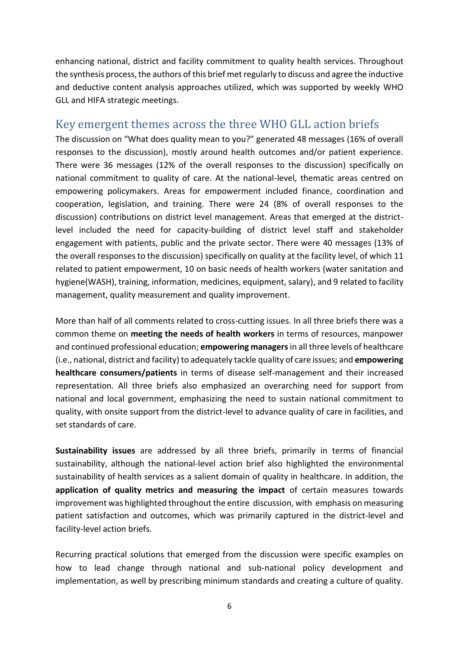enhancing national, district and facility commitment to quality health services. Throughout the synthesis process, the authors of this brief met regularly to discuss and agree the inductive and deductive content analysis approaches utilized, which was supported by weekly WHO GLL and HIFA strategic meetings.

## <span id="page-5-0"></span>Key emergent themes across the three WHO GLL action briefs

The discussion on "What does quality mean to you?" generated 48 messages (16% of overall responses to the discussion), mostly around health outcomes and/or patient experience. There were 36 messages (12% of the overall responses to the discussion) specifically on national commitment to quality of care. At the national-level, thematic areas centred on empowering policymakers. Areas for empowerment included finance, coordination and cooperation, legislation, and training. There were 24 (8% of overall responses to the discussion) contributions on district level management. Areas that emerged at the districtlevel included the need for capacity-building of district level staff and stakeholder engagement with patients, public and the private sector. There were 40 messages (13% of the overall responses to the discussion) specifically on quality at the facility level, of which 11 related to patient empowerment, 10 on basic needs of health workers (water sanitation and hygiene(WASH), training, information, medicines, equipment, salary), and 9 related to facility management, quality measurement and quality improvement.

More than half of all comments related to cross-cutting issues. In all three briefs there was a common theme on **meeting the needs of health workers** in terms of resources, manpower and continued professional education; **empowering managers**in all three levels of healthcare (i.e., national, district and facility) to adequately tackle quality of care issues; and **empowering healthcare consumers/patients** in terms of disease self-management and their increased representation. All three briefs also emphasized an overarching need for support from national and local government, emphasizing the need to sustain national commitment to quality, with onsite support from the district-level to advance quality of care in facilities, and set standards of care.

**Sustainability issues** are addressed by all three briefs, primarily in terms of financial sustainability, although the national-level action brief also highlighted the environmental sustainability of health services as a salient domain of quality in healthcare. In addition, the **application of quality metrics and measuring the impact** of certain measures towards improvement was highlighted throughout the entire discussion, with emphasis on measuring patient satisfaction and outcomes, which was primarily captured in the district-level and facility-level action briefs.

Recurring practical solutions that emerged from the discussion were specific examples on how to lead change through national and sub-national policy development and implementation, as well by prescribing minimum standards and creating a culture of quality.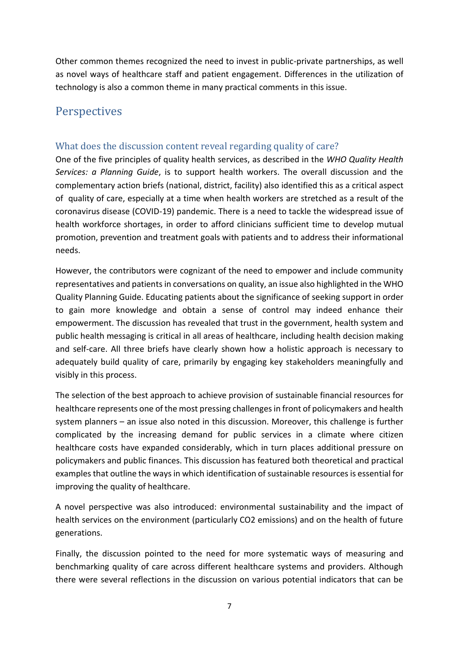Other common themes recognized the need to invest in public-private partnerships, as well as novel ways of healthcare staff and patient engagement. Differences in the utilization of technology is also a common theme in many practical comments in this issue.

## <span id="page-6-0"></span>Perspectives

#### <span id="page-6-1"></span>What does the discussion content reveal regarding quality of care?

One of the five principles of quality health services, as described in the *WHO Quality Health Services: a Planning Guide*, is to support health workers. The overall discussion and the complementary action briefs (national, district, facility) also identified this as a critical aspect of quality of care, especially at a time when health workers are stretched as a result of the coronavirus disease (COVID-19) pandemic. There is a need to tackle the widespread issue of health workforce shortages, in order to afford clinicians sufficient time to develop mutual promotion, prevention and treatment goals with patients and to address their informational needs.

However, the contributors were cognizant of the need to empower and include community representatives and patients in conversations on quality, an issue also highlighted in the WHO Quality Planning Guide. Educating patients about the significance of seeking support in order to gain more knowledge and obtain a sense of control may indeed enhance their empowerment. The discussion has revealed that trust in the government, health system and public health messaging is critical in all areas of healthcare, including health decision making and self-care. All three briefs have clearly shown how a holistic approach is necessary to adequately build quality of care, primarily by engaging key stakeholders meaningfully and visibly in this process.

The selection of the best approach to achieve provision of sustainable financial resources for healthcare represents one of the most pressing challenges in front of policymakers and health system planners – an issue also noted in this discussion. Moreover, this challenge is further complicated by the increasing demand for public services in a climate where citizen healthcare costs have expanded considerably, which in turn places additional pressure on policymakers and public finances. This discussion has featured both theoretical and practical examples that outline the ways in which identification of sustainable resources is essential for improving the quality of healthcare.

A novel perspective was also introduced: environmental sustainability and the impact of health services on the environment (particularly CO2 emissions) and on the health of future generations.

Finally, the discussion pointed to the need for more systematic ways of measuring and benchmarking quality of care across different healthcare systems and providers. Although there were several reflections in the discussion on various potential indicators that can be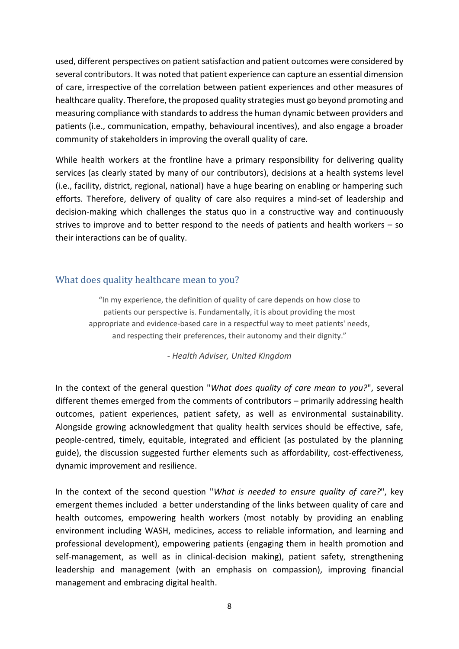used, different perspectives on patient satisfaction and patient outcomes were considered by several contributors. It was noted that patient experience can capture an essential dimension of care, irrespective of the correlation between patient experiences and other measures of healthcare quality. Therefore, the proposed quality strategies must go beyond promoting and measuring compliance with standards to address the human dynamic between providers and patients (i.e., communication, empathy, behavioural incentives), and also engage a broader community of stakeholders in improving the overall quality of care.

While health workers at the frontline have a primary responsibility for delivering quality services (as clearly stated by many of our contributors), decisions at a health systems level (i.e., facility, district, regional, national) have a huge bearing on enabling or hampering such efforts. Therefore, delivery of quality of care also requires a mind-set of leadership and decision-making which challenges the status quo in a constructive way and continuously strives to improve and to better respond to the needs of patients and health workers – so their interactions can be of quality.

#### <span id="page-7-0"></span>What does quality healthcare mean to you?

"In my experience, the definition of quality of care depends on how close to patients our perspective is. Fundamentally, it is about providing the most appropriate and evidence-based care in a respectful way to meet patients' needs, and respecting their preferences, their autonomy and their dignity."

*- Health Adviser, United Kingdom*

In the context of the general question "*What does quality of care mean to you?*", several different themes emerged from the comments of contributors – primarily addressing health outcomes, patient experiences, patient safety, as well as environmental sustainability. Alongside growing acknowledgment that quality health services should be effective, safe, people-centred, timely, equitable, integrated and efficient (as postulated by the planning guide), the discussion suggested further elements such as affordability, cost-effectiveness, dynamic improvement and resilience.

In the context of the second question "*What is needed to ensure quality of care?*", key emergent themes included a better understanding of the links between quality of care and health outcomes, empowering health workers (most notably by providing an enabling environment including WASH, medicines, access to reliable information, and learning and professional development), empowering patients (engaging them in health promotion and self-management, as well as in clinical-decision making), patient safety, strengthening leadership and management (with an emphasis on compassion), improving financial management and embracing digital health.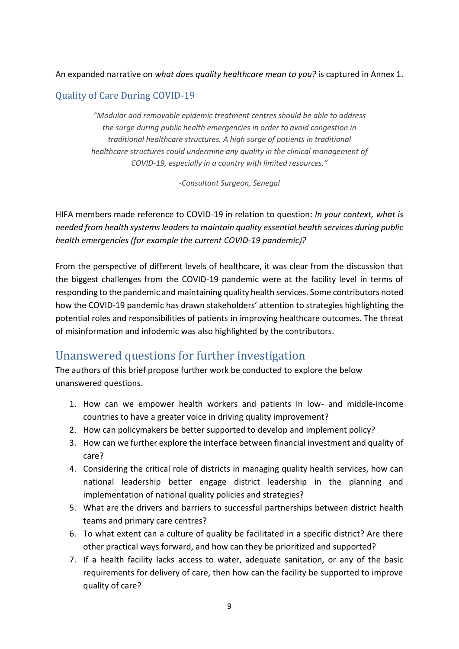#### An expanded narrative on *what does quality healthcare mean to you?* is captured in Annex 1.

#### <span id="page-8-0"></span>Quality of Care During COVID-19

*"Modular and removable epidemic treatment centres should be able to address the surge during public health emergencies in order to avoid congestion in traditional healthcare structures. A high surge of patients in traditional healthcare structures could undermine any quality in the clinical management of COVID-19, especially in a country with limited resources."*

*-Consultant Surgeon, Senegal*

HIFA members made reference to COVID-19 in relation to question: *In your context, what is needed from health systems leaders to maintain quality essential health services during public health emergencies (for example the current COVID-19 pandemic)?*

From the perspective of different levels of healthcare, it was clear from the discussion that the biggest challenges from the COVID-19 pandemic were at the facility level in terms of responding to the pandemic and maintaining quality health services. Some contributors noted how the COVID-19 pandemic has drawn stakeholders' attention to strategies highlighting the potential roles and responsibilities of patients in improving healthcare outcomes. The threat of misinformation and infodemic was also highlighted by the contributors.

### <span id="page-8-1"></span>Unanswered questions for further investigation

The authors of this brief propose further work be conducted to explore the below unanswered questions.

- 1. How can we empower health workers and patients in low- and middle-income countries to have a greater voice in driving quality improvement?
- 2. How can policymakers be better supported to develop and implement policy?
- 3. How can we further explore the interface between financial investment and quality of care?
- 4. Considering the critical role of districts in managing quality health services, how can national leadership better engage district leadership in the planning and implementation of national quality policies and strategies?
- 5. What are the drivers and barriers to successful partnerships between district health teams and primary care centres?
- 6. To what extent can a culture of quality be facilitated in a specific district? Are there other practical ways forward, and how can they be prioritized and supported?
- 7. If a health facility lacks access to water, adequate sanitation, or any of the basic requirements for delivery of care, then how can the facility be supported to improve quality of care?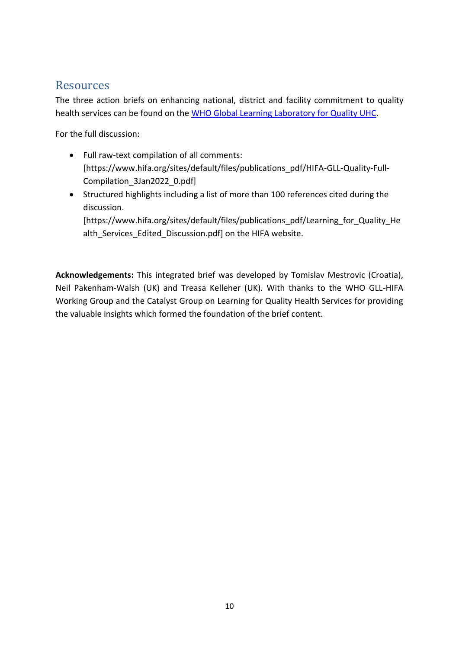## <span id="page-9-0"></span>Resources

The three action briefs on enhancing national, district and facility commitment to quality health services can be found on the [WHO Global Learning Laboratory for Quality UHC.](https://www.who.int/initiatives/who-global-learning-laboratory-for-quality-uhc)

For the full discussion:

- Full raw-text compilation of all comments: [https://www.hifa.org/sites/default/files/publications\_pdf/HIFA-GLL-Quality-Full-Compilation\_3Jan2022\_0.pdf]
- Structured highlights including a list of more than 100 references cited during the discussion.

[https://www.hifa.org/sites/default/files/publications\_pdf/Learning\_for\_Quality\_He alth\_Services\_Edited\_Discussion.pdf] on the HIFA website.

**Acknowledgements:** This integrated brief was developed by Tomislav Mestrovic (Croatia), Neil Pakenham-Walsh (UK) and Treasa Kelleher (UK). With thanks to the WHO GLL-HIFA Working Group and the Catalyst Group on Learning for Quality Health Services for providing the valuable insights which formed the foundation of the brief content.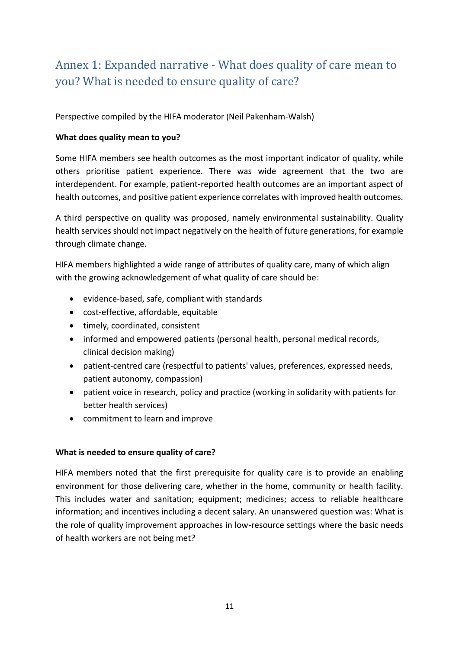## <span id="page-10-0"></span>Annex 1: Expanded narrative - What does quality of care mean to you? What is needed to ensure quality of care?

Perspective compiled by the HIFA moderator (Neil Pakenham-Walsh)

#### **What does quality mean to you?**

Some HIFA members see health outcomes as the most important indicator of quality, while others prioritise patient experience. There was wide agreement that the two are interdependent. For example, patient-reported health outcomes are an important aspect of health outcomes, and positive patient experience correlates with improved health outcomes.

A third perspective on quality was proposed, namely environmental sustainability. Quality health services should not impact negatively on the health of future generations, for example through climate change.

HIFA members highlighted a wide range of attributes of quality care, many of which align with the growing acknowledgement of what quality of care should be:

- evidence-based, safe, compliant with standards
- cost-effective, affordable, equitable
- timely, coordinated, consistent
- informed and empowered patients (personal health, personal medical records, clinical decision making)
- patient-centred care (respectful to patients' values, preferences, expressed needs, patient autonomy, compassion)
- patient voice in research, policy and practice (working in solidarity with patients for better health services)
- commitment to learn and improve

#### **What is needed to ensure quality of care?**

HIFA members noted that the first prerequisite for quality care is to provide an enabling environment for those delivering care, whether in the home, community or health facility. This includes water and sanitation; equipment; medicines; access to reliable healthcare information; and incentives including a decent salary. An unanswered question was: What is the role of quality improvement approaches in low-resource settings where the basic needs of health workers are not being met?